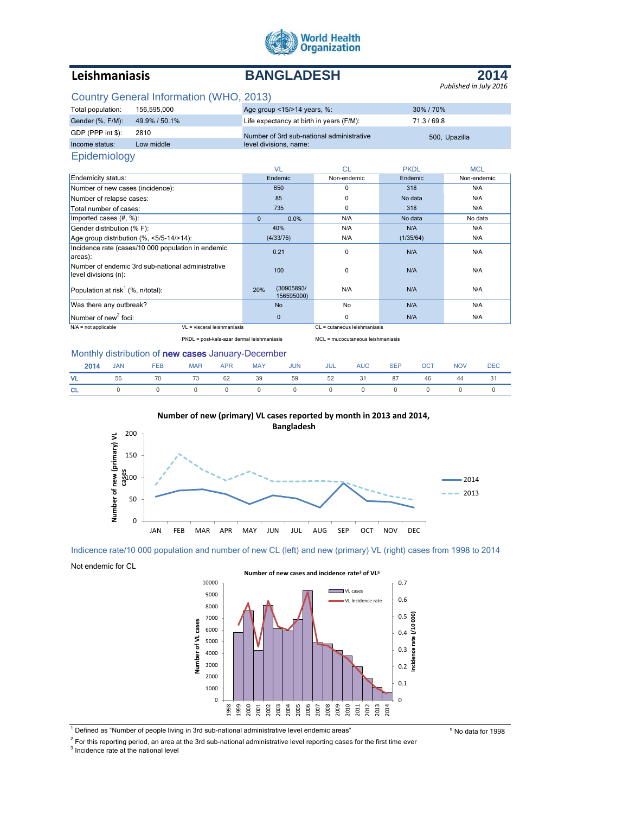

# **Leishmaniasis BANGLADESH**



# Country General Information (WHO, 2013)

| Total population: | 156.595.000   | Age group <15/>>14 years, %:              | 30%/70%       |
|-------------------|---------------|-------------------------------------------|---------------|
| Gender (%, F/M):  | 49.9% / 50.1% | Life expectancy at birth in years (F/M):  | 71.3/69.8     |
| GDP (PPP int \$): | 2810          | Number of 3rd sub-national administrative | 500, Upazilla |
| Income status:    | Low middle    | level divisions, name:                    |               |
| Epidemiology      |               |                                           |               |

|                                                                           |              | VL                       | <b>CL</b>                    | <b>PKDL</b> | <b>MCL</b>  |
|---------------------------------------------------------------------------|--------------|--------------------------|------------------------------|-------------|-------------|
| Endemicity status:                                                        |              | Endemic                  | Non-endemic                  | Endemic     | Non-endemic |
| Number of new cases (incidence):                                          |              | 650                      | $\Omega$                     | 318         | N/A         |
| Number of relapse cases:                                                  |              | 85                       | $\Omega$                     | No data     | N/A         |
| Total number of cases:                                                    |              | 735                      | $\Omega$                     | 318         | N/A         |
| Imported cases $(H, %)$ :                                                 | $\mathbf{0}$ | 0.0%                     | N/A                          | No data     | No data     |
| Gender distribution (% F):                                                |              | 40%                      | N/A                          | N/A         | N/A         |
| Age group distribution (%, <5/5-14/>14):                                  |              | (4/33/76)                | N/A                          | (1/35/64)   | N/A         |
| Incidence rate (cases/10 000 population in endemic<br>areas):             |              | 0.21                     | $\Omega$                     | N/A         | N/A         |
| Number of endemic 3rd sub-national administrative<br>level divisions (n): |              | 100                      | $\Omega$                     | N/A         | N/A         |
| Population at risk <sup>1</sup> (%, n/total):                             | 20%          | (30905893/<br>156595000) | N/A                          | N/A         | N/A         |
| Was there any outbreak?                                                   |              | <b>No</b>                | No                           | N/A         | N/A         |
| Number of new <sup>2</sup> foci:                                          |              | $\mathbf{0}$             | 0                            | N/A         | N/A         |
| $N/A$ = not applicable<br>VI = visceral leishmaniasis                     |              |                          | CL = cutaneous leishmaniasis |             |             |

PKDL = post-kala-azar dermal leishmaniasis MCL = mucocutaneous leishmaniasis

#### Monthly distribution of new cases January-December

|           | <b>2014</b> JAN FEB |                                     |  | MAR APR MAY JUN JUL AUG SEP OCT |  |  | <b>NOV</b> | <b>DEC</b> |
|-----------|---------------------|-------------------------------------|--|---------------------------------|--|--|------------|------------|
| VL .      |                     | 56 70 73 62 39 59 52 31 87 46 44 31 |  |                                 |  |  |            |            |
| <b>CL</b> |                     | 0 0 0 0 0 0 0 0 0 0 0 0 0           |  |                                 |  |  |            |            |



#### Indicence rate/10 000 population and number of new CL (left) and new (primary) VL (right) cases from 1998 to 2014

Not endemic for CL



<sup>1</sup> Defined as "Number of people living in 3rd sub-national administrative level endemic areas" **Auch and Solution** a No data for 1998

 $2$  For this reporting period, an area at the 3rd sub-national administrative level reporting cases for the first time ever

<sup>3</sup> Incidence rate at the national level